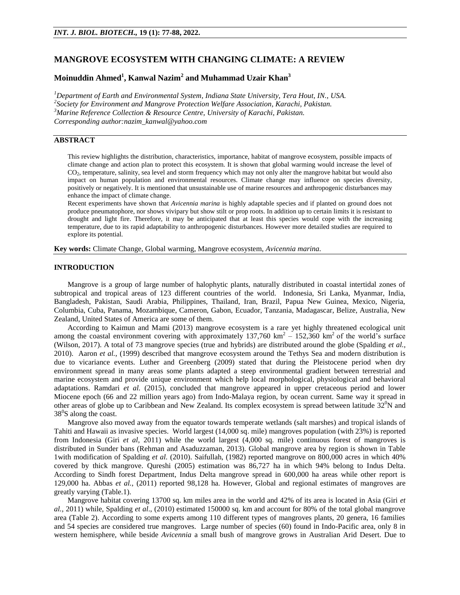# **MANGROVE ECOSYSTEM WITH CHANGING CLIMATE: A REVIEW**

# **Moinuddin Ahmed<sup>1</sup> , Kanwal Nazim<sup>2</sup> and Muhammad Uzair Khan<sup>3</sup>**

*Department of Earth and Environmental System, Indiana State University, Tera Hout, IN., USA. Society for Environment and Mangrove Protection Welfare Association, Karachi, Pakistan. Marine Reference Collection & Resource Centre, University of Karachi, Pakistan. Corresponding author:nazim\_kanwal@yahoo.com*

## **ABSTRACT**

This review highlights the distribution, characteristics, importance, habitat of mangrove ecosystem, possible impacts of climate change and action plan to protect this ecosystem. It is shown that global warming would increase the level of CO<sup>2</sup> , temperature, salinity, sea level and storm frequency which may not only alter the mangrove habitat but would also impact on human population and environmental resources. Climate change may influence on species diversity, positively or negatively. It is mentioned that unsustainable use of marine resources and anthropogenic disturbances may enhance the impact of climate change.

Recent experiments have shown that *Avicennia marina* is highly adaptable species and if planted on ground does not produce pneumatophore, nor shows vivipary but show stilt or prop roots. In addition up to certain limits it is resistant to drought and light fire. Therefore, it may be anticipated that at least this species would cope with the increasing temperature, due to its rapid adaptability to anthropogenic disturbances. However more detailed studies are required to explore its potential.

**Key words:** Climate Change, Global warming, Mangrove ecosystem, *Avicennia marina.* 

#### **INTRODUCTION**

Mangrove is a group of large number of halophytic plants, naturally distributed in coastal intertidal zones of subtropical and tropical areas of 123 different countries of the world. Indonesia, Sri Lanka, Myanmar, India, Bangladesh, Pakistan, Saudi Arabia, Philippines, Thailand, Iran, Brazil, Papua New Guinea, Mexico, Nigeria, Columbia, Cuba, Panama, Mozambique, Cameron, Gabon, Ecuador, Tanzania, Madagascar, Belize, Australia, New Zealand, United States of America are some of them.

According to Kaimun and Mami (2013) mangrove ecosystem is a rare yet highly threatened ecological unit among the coastal environment covering with approximately  $137,760 \text{ km}^2 - 152,360 \text{ km}^2$  of the world's surface (Wilson, 2017). A total of 73 mangrove species (true and hybrids) are distributed around the globe (Spalding *et al.,* 2010). Aaron *et al.*, (1999) described that mangrove ecosystem around the Tethys Sea and modern distribution is due to vicariance events. Luther and Greenberg (2009) stated that during the Pleistocene period when dry environment spread in many areas some plants adapted a steep environmental gradient between terrestrial and marine ecosystem and provide unique environment which help local morphological, physiological and behavioral adaptations. Ramdari *et al.* (2015), concluded that mangrove appeared in upper cretaceous period and lower Miocene epoch (66 and 22 million years ago) from Indo-Malaya region, by ocean current. Same way it spread in other areas of globe up to Caribbean and New Zealand. Its complex ecosystem is spread between latitude  $32^0$ N and  $38^0$ S along the coast.

Mangrove also moved away from the equator towards temperate wetlands (salt marshes) and tropical islands of Tahiti and Hawaii as invasive species. World largest (14,000 sq. mile) mangroves population (with 23%) is reported from Indonesia (Giri *et al*, 2011) while the world largest (4,000 sq. mile) continuous forest of mangroves is distributed in Sunder bans (Rehman and Asaduzzaman, 2013). Global mangrove area by region is shown in Table 1with modification of Spalding *et al.* (2010). Saifullah, (1982) reported mangrove on 800,000 acres in which 40% covered by thick mangrove. Qureshi (2005) estimation was 86,727 ha in which 94% belong to Indus Delta. According to Sindh forest Department, Indus Delta mangrove spread in 600,000 ha areas while other report is 129,000 ha. Abbas *et al.*, (2011) reported 98,128 ha. However, Global and regional estimates of mangroves are greatly varying (Table.1).

Mangrove habitat covering 13700 sq. km miles area in the world and 42% of its area is located in Asia (Giri *et al.,* 2011) while, Spalding *et al*., (2010) estimated 150000 sq. km and account for 80% of the total global mangrove area (Table 2). According to some experts among 110 different types of mangroves plants, 20 genera, 16 families and 54 species are considered true mangroves. Large number of species (60) found in Indo-Pacific area, only 8 in western hemisphere, while beside *Avicennia* a small bush of mangrove grows in Australian Arid Desert. Due to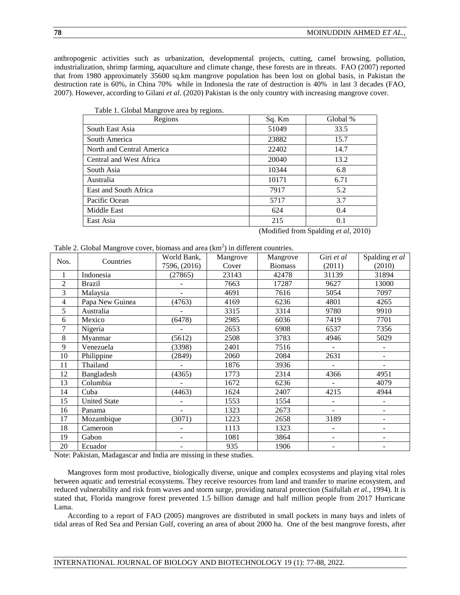anthropogenic activities such as urbanization, developmental projects, cutting, camel browsing, pollution, industrialization, shrimp farming, aquaculture and climate change, these forests are in threats. FAO (2007) reported that from 1980 approximately 35600 sq.km mangrove population has been lost on global basis, in Pakistan the destruction rate is 60%, in China 70% while in Indonesia the rate of destruction is 40% in last 3 decades (FAO, 2007). However, according to Gilani *et al*. (2020) Pakistan is the only country with increasing mangrove cover.

| Table 1. Global Mangrove area by regions. |        |          |
|-------------------------------------------|--------|----------|
| Regions                                   | Sq. Km | Global % |
| South East Asia                           | 51049  | 33.5     |
| South America                             | 23882  | 15.7     |
| North and Central America                 | 22402  | 14.7     |
| Central and West Africa                   | 20040  | 13.2     |
| South Asia                                | 10344  | 6.8      |
| Australia                                 | 10171  | 6.71     |
| East and South Africa                     | 7917   | 5.2      |
| Pacific Ocean                             | 5717   | 3.7      |
| Middle East                               | 624    | 0.4      |
| East Asia                                 | 215    | 0.1      |

(Modified from Spalding *et al*, 2010)

| Table 2. Global Mangrove cover, biomass and area $(km2)$ in different countries. |  |  |
|----------------------------------------------------------------------------------|--|--|
|                                                                                  |  |  |
|                                                                                  |  |  |
|                                                                                  |  |  |

| Nos.           | Countries           | World Bank,              | Mangrove | Mangrove       | Giri et al               | Spalding et al    |  |
|----------------|---------------------|--------------------------|----------|----------------|--------------------------|-------------------|--|
|                |                     | 7596, (2016)             | Cover    | <b>Biomass</b> | (2011)                   | (2010)            |  |
| 1              | Indonesia           | (27865)                  | 23143    | 42478          | 31139                    | 31894             |  |
| $\overline{2}$ | <b>Brazil</b>       |                          | 7663     | 17287          | 9627                     | 13000             |  |
| 3              | Malaysia            | ÷.                       | 4691     | 7616           | 5054                     | 7097              |  |
| 4              | Papa New Guinea     | (4763)                   | 4169     | 6236           | 4801                     | 4265              |  |
| 5              | Australia           |                          | 3315     | 3314           | 9780                     | 9910              |  |
| 6              | Mexico              | (6478)                   | 2985     | 6036           | 7419                     | 7701              |  |
| 7              | Nigeria             |                          | 2653     | 6908           | 6537                     | 7356              |  |
| 8              | Myanmar             | (5612)                   | 2508     | 3783           | 4946                     | 5029              |  |
| 9              | Venezuela           | (3398)                   | 2401     | 7516           |                          |                   |  |
| 10             | Philippine          | (2849)                   | 2060     | 2084           | 2631                     | $\qquad \qquad -$ |  |
| 11             | Thailand            |                          | 1876     | 3936           |                          |                   |  |
| 12             | Bangladesh          | (4365)                   | 1773     | 2314           | 4366                     | 4951              |  |
| 13             | Columbia            |                          | 1672     | 6236           |                          | 4079              |  |
| 14             | Cuba                | (4463)                   | 1624     | 2407           | 4215                     | 4944              |  |
| 15             | <b>United State</b> |                          | 1553     | 1554           | $\overline{\phantom{0}}$ | $\overline{a}$    |  |
| 16             | Panama              | $\overline{\phantom{0}}$ | 1323     | 2673           | $\overline{\phantom{0}}$ | ۰                 |  |
| 17             | Mozambique          | (3071)                   | 1223     | 2658           | 3189                     | ۰                 |  |
| 18             | Cameroon            | ۰                        | 1113     | 1323           | $\overline{\phantom{0}}$ | ۰                 |  |
| 19             | Gabon               | ٠                        | 1081     | 3864           | ٠                        | ۰                 |  |
| 20             | Ecuador             |                          | 935      | 1906           |                          |                   |  |

Note: Pakistan, Madagascar and India are missing in these studies.

Mangroves form most productive, biologically diverse, unique and complex ecosystems and playing vital roles between aquatic and terrestrial ecosystems. They receive resources from land and transfer to marine ecosystem, and reduced vulnerability and risk from waves and storm surge, providing natural protection (Saifullah *et al.*, 1994). It is stated that, Florida mangrove forest prevented 1.5 billion damage and half million people from 2017 Hurricane Lama.

According to a report of FAO (2005) mangroves are distributed in small pockets in many bays and inlets of tidal areas of Red Sea and Persian Gulf, covering an area of about 2000 ha. One of the best mangrove forests, after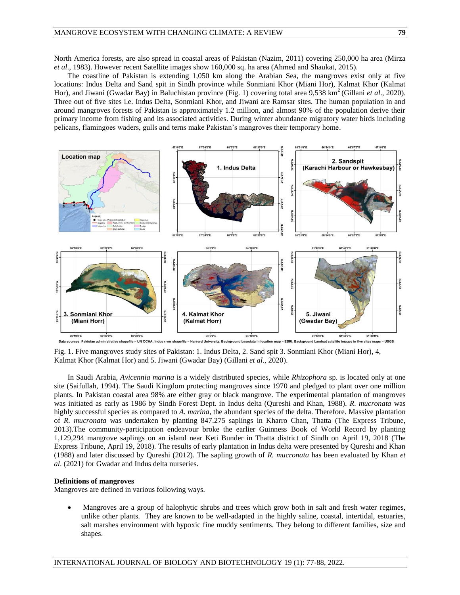North America forests, are also spread in coastal areas of Pakistan (Nazim, 2011) covering 250,000 ha area (Mirza *et al*., 1983). However recent Satellite images show 160,000 sq. ha area (Ahmed and Shaukat, 2015).

The coastline of Pakistan is extending 1,050 km along the Arabian Sea, the mangroves exist only at five locations: Indus Delta and Sand spit in Sindh province while Sonmiani Khor (Miani Hor), Kalmat Khor (Kalmat Hor), and Jiwani (Gwadar Bay) in Baluchistan province (Fig. 1) covering total area 9,538 km<sup>2</sup> (Gillani *et al.*, 2020). Three out of five sites i.e. Indus Delta, Sonmiani Khor, and Jiwani are Ramsar sites. The human population in and around mangroves forests of Pakistan is approximately 1.2 million, and almost 90% of the population derive their primary income from fishing and its associated activities. During winter abundance migratory water birds including pelicans, flamingoes waders, gulls and terns make Pakistan's mangroves their temporary home.



Fig. 1. Five mangroves study sites of Pakistan: 1. Indus Delta, 2. Sand spit 3. Sonmiani Khor (Miani Hor), 4, Kalmat Khor (Kalmat Hor) and 5. Jiwani (Gwadar Bay) (Gillani *et al*., 2020).

In Saudi Arabia, *Avicennia marina* is a widely distributed species, while *Rhizophora* sp. is located only at one site (Saifullah, 1994). The Saudi Kingdom protecting mangroves since 1970 and pledged to plant over one million plants. In Pakistan coastal area 98% are either gray or black mangrove. The experimental plantation of mangroves was initiated as early as 1986 by Sindh Forest Dept. in Indus delta (Qureshi and Khan, 1988). *R. mucronata* was highly successful species as compared to *A. marina*, the abundant species of the delta. Therefore. Massive plantation of *R. mucronata* was undertaken by planting 847.275 saplings in Kharro Chan, Thatta (The Express Tribune, 2013).The community-participation endeavour broke the earlier Guinness Book of World Record by planting 1,129,294 mangrove saplings on an island near Keti Bunder in Thatta district of Sindh on April 19, 2018 (The Express Tribune, April 19, 2018). The results of early plantation in Indus delta were presented by Qureshi and Khan (1988) and later discussed by Qureshi (2012). The sapling growth of *R. mucronata* has been evaluated by Khan *et al*. (2021) for Gwadar and Indus delta nurseries.

#### **Definitions of mangroves**

Mangroves are defined in various following ways.

 Mangroves are a group of halophytic shrubs and trees which grow both in salt and fresh water regimes, unlike other plants. They are known to be well-adapted in the highly saline, coastal, intertidal, estuaries, salt marshes environment with hypoxic fine muddy sentiments. They belong to different families, size and shapes.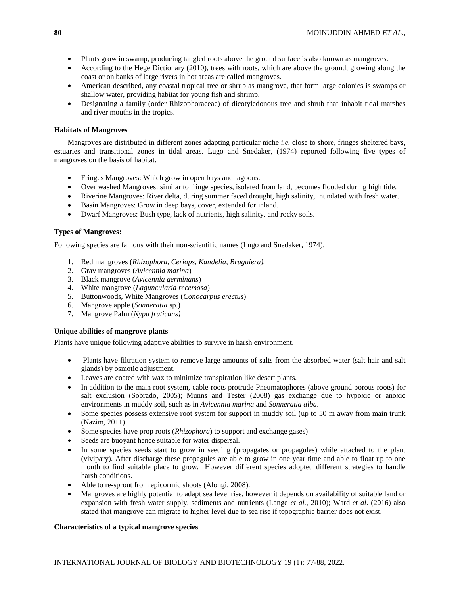- Plants grow in swamp, producing tangled roots above the ground surface is also known as mangroves.
- According to the Hege Dictionary (2010), trees with roots, which are above the ground, growing along the coast or on banks of large rivers in hot areas are called mangroves.
- American described, any coastal tropical tree or shrub as mangrove, that form large colonies is swamps or shallow water, providing habitat for young fish and shrimp.
- Designating a family (order Rhizophoraceae) of dicotyledonous tree and shrub that inhabit tidal marshes and river mouths in the tropics.

### **Habitats of Mangroves**

Mangroves are distributed in different zones adapting particular niche *i.e.* close to shore, fringes sheltered bays, estuaries and transitional zones in tidal areas. Lugo and Snedaker, (1974) reported following five types of mangroves on the basis of habitat.

- Fringes Mangroves: Which grow in open bays and lagoons.
- Over washed Mangroves: similar to fringe species, isolated from land, becomes flooded during high tide.
- Riverine Mangroves: River delta, during summer faced drought, high salinity, inundated with fresh water.
- Basin Mangroves: Grow in deep bays, cover, extended for inland.
- Dwarf Mangroves: Bush type, lack of nutrients, high salinity, and rocky soils.

### **Types of Mangroves:**

Following species are famous with their non-scientific names (Lugo and Snedaker, 1974).

- 1. Red mangroves (*Rhizophora, Ceriops, Kandelia, Bruguiera).*
- 2. Gray mangroves (*Avicennia marina*)
- 3. Black mangrove (*Avicennia germinans*)
- 4. White mangrove (*Laguncularia recemosa*)
- 5. Buttonwoods, White Mangroves (*Conocarpus erectus*)
- 6. Mangrove apple (*Sonneratia* sp.)
- 7. Mangrove Palm (*Nypa fruticans)*

### **Unique abilities of mangrove plants**

Plants have unique following adaptive abilities to survive in harsh environment.

- Plants have filtration system to remove large amounts of salts from the absorbed water (salt hair and salt glands) by osmotic adjustment.
- Leaves are coated with wax to minimize transpiration like desert plants.
- In addition to the main root system, cable roots protrude Pneumatophores (above ground porous roots) for salt exclusion (Sobrado, 2005); Munns and Tester (2008) gas exchange due to hypoxic or anoxic environments in muddy soil, such as in *Avicennia marina* and *Sonneratia alba*.
- Some species possess extensive root system for support in muddy soil (up to 50 m away from main trunk (Nazim, 2011).
- Some species have prop roots (*Rhizophora*) to support and exchange gases)
- Seeds are buoyant hence suitable for water dispersal.
- In some species seeds start to grow in seeding (propagates or propagules) while attached to the plant (vivipary). After discharge these propagules are able to grow in one year time and able to float up to one month to find suitable place to grow. However different species adopted different strategies to handle harsh conditions.
- Able to re-sprout from epicormic shoots (Alongi, 2008).
- Mangroves are highly potential to adapt sea level rise, however it depends on availability of suitable land or expansion with fresh water supply, sediments and nutrients (Lange *et al.*, 2010); Ward *et al*. (2016) also stated that mangrove can migrate to higher level due to sea rise if topographic barrier does not exist.

## **Characteristics of a typical mangrove species**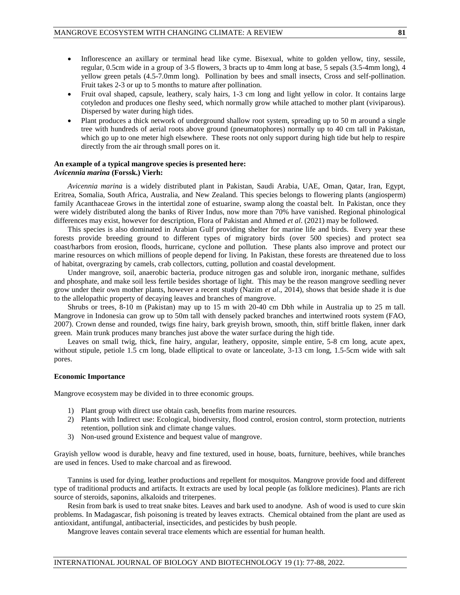- Inflorescence an axillary or terminal head like cyme. Bisexual, white to golden yellow, tiny, sessile, regular, 0.5cm wide in a group of 3-5 flowers, 3 bracts up to 4mm long at base, 5 sepals (3.5-4mm long), 4 yellow green petals (4.5-7.0mm long). Pollination by bees and small insects, Cross and self-pollination. Fruit takes 2-3 or up to 5 months to mature after pollination.
- Fruit oval shaped, capsule, leathery, scaly hairs, 1-3 cm long and light yellow in color. It contains large cotyledon and produces one fleshy seed, which normally grow while attached to mother plant (viviparous). Dispersed by water during high tides.
- Plant produces a thick network of underground shallow root system, spreading up to 50 m around a single tree with hundreds of aerial roots above ground (pneumatophores) normally up to 40 cm tall in Pakistan, which go up to one meter high elsewhere. These roots not only support during high tide but help to respire directly from the air through small pores on it.

### **An example of a typical mangrove species is presented here:** *Avicennia marina* **(Forssk.) Vierh:**

*Avicennia marina* is a widely distributed plant in Pakistan, Saudi Arabia, UAE, Oman, Qatar, Iran, Egypt, Eritrea, Somalia, South Africa, Australia, and New Zealand. This species belongs to flowering plants (angiosperm) family Acanthaceae Grows in the intertidal zone of estuarine, swamp along the coastal belt. In Pakistan, once they were widely distributed along the banks of River Indus, now more than 70% have vanished. Regional phinological differences may exist, however for description, Flora of Pakistan and Ahmed *et al*. (2021) may be followed.

This species is also dominated in Arabian Gulf providing shelter for marine life and birds. Every year these forests provide breeding ground to different types of migratory birds (over 500 species) and protect sea coast/harbors from erosion, floods, hurricane, cyclone and pollution. These plants also improve and protect our marine resources on which millions of people depend for living. In Pakistan, these forests are threatened due to loss of habitat, overgrazing by camels, crab collectors, cutting, pollution and coastal development.

Under mangrove, soil, anaerobic bacteria, produce nitrogen gas and soluble iron, inorganic methane, sulfides and phosphate, and make soil less fertile besides shortage of light. This may be the reason mangrove seedling never grow under their own mother plants, however a recent study (Nazim *et al*., 2014), shows that beside shade it is due to the allelopathic property of decaying leaves and branches of mangrove.

Shrubs or trees, 8-10 m (Pakistan) may up to 15 m with 20-40 cm Dbh while in Australia up to 25 m tall. Mangrove in Indonesia can grow up to 50m tall with densely packed branches and intertwined roots system (FAO, 2007). Crown dense and rounded, twigs fine hairy, bark greyish brown, smooth, thin, stiff brittle flaken, inner dark green. Main trunk produces many branches just above the water surface during the high tide.

Leaves on small twig, thick, fine hairy, angular, leathery, opposite, simple entire, 5-8 cm long, acute apex, without stipule, petiole 1.5 cm long, blade elliptical to ovate or lanceolate, 3-13 cm long, 1.5-5cm wide with salt pores.

### **Economic Importance**

Mangrove ecosystem may be divided in to three economic groups.

- 1) Plant group with direct use obtain cash, benefits from marine resources.
- 2) Plants with Indirect use: Ecological, biodiversity, flood control, erosion control, storm protection, nutrients retention, pollution sink and climate change values.
- 3) Non-used ground Existence and bequest value of mangrove.

Grayish yellow wood is durable, heavy and fine textured, used in house, boats, furniture, beehives, while branches are used in fences. Used to make charcoal and as firewood.

Tannins is used for dying, leather productions and repellent for mosquitos. Mangrove provide food and different type of traditional products and artifacts. It extracts are used by local people (as folklore medicines). Plants are rich source of steroids, saponins, alkaloids and triterpenes.

Resin from bark is used to treat snake bites. Leaves and bark used to anodyne. Ash of wood is used to cure skin problems. In Madagascar, fish poisoning is treated by leaves extracts. Chemical obtained from the plant are used as antioxidant, antifungal, antibacterial, insecticides, and pesticides by bush people.

Mangrove leaves contain several trace elements which are essential for human health.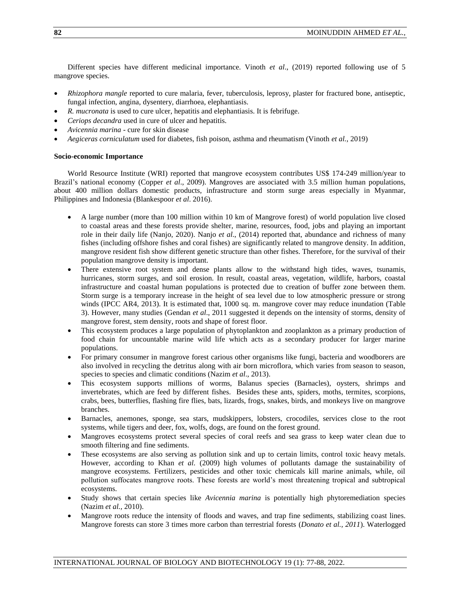Different species have different medicinal importance. Vinoth *et al*., (2019) reported following use of 5 mangrove species.

- *Rhizophora mangle* reported to cure malaria, fever, tuberculosis, leprosy, plaster for fractured bone, antiseptic, fungal infection, angina, dysentery, diarrhoea, elephantiasis.
- *R. mucronata* is used to cure ulcer, hepatitis and elephantiasis. It is febrifuge.
- *Ceriops decandra* used in cure of ulcer and hepatitis.
- *Avicennia marina* cure for skin disease
- *Aegiceras corniculatum* used for diabetes, fish poison, asthma and rheumatism (Vinoth *et al.*, 2019)

### **Socio-economic Importance**

World Resource Institute (WRI) reported that mangrove ecosystem contributes US\$ 174-249 million/year to Brazil's national economy (Copper *et al*., 2009). Mangroves are associated with 3.5 million human populations, about 400 million dollars domestic products, infrastructure and storm surge areas especially in Myanmar, Philippines and Indonesia (Blankespoor *et al*. 2016).

- A large number (more than 100 million within 10 km of Mangrove forest) of world population live closed to coastal areas and these forests provide shelter, marine, resources, food, jobs and playing an important role in their daily life (Nanjo, 2020). Nanjo *et al*., (2014) reported that, abundance and richness of many fishes (including offshore fishes and coral fishes) are significantly related to mangrove density. In addition, mangrove resident fish show different genetic structure than other fishes. Therefore, for the survival of their population mangrove density is important.
- There extensive root system and dense plants allow to the withstand high tides, waves, tsunamis, hurricanes, storm surges, and soil erosion. In result, coastal areas, vegetation, wildlife, harbors, coastal infrastructure and coastal human populations is protected due to creation of buffer zone between them. Storm surge is a temporary increase in the height of sea level due to low atmospheric pressure or strong winds (IPCC AR4, 2013). It is estimated that, 1000 sq. m. mangrove cover may reduce inundation (Table 3). However, many studies (Gendan *et al*., 2011 suggested it depends on the intensity of storms, density of mangrove forest, stem density, roots and shape of forest floor.
- This ecosystem produces a large population of phytoplankton and zooplankton as a primary production of food chain for uncountable marine wild life which acts as a secondary producer for larger marine populations.
- For primary consumer in mangrove forest carious other organisms like fungi, bacteria and woodborers are also involved in recycling the detritus along with air born microflora, which varies from season to season, species to species and climatic conditions (Nazim *et al*., 2013).
- This ecosystem supports millions of worms, Balanus species (Barnacles), oysters, shrimps and invertebrates, which are feed by different fishes. Besides these ants, spiders, moths, termites, scorpions, crabs, bees, butterflies, flashing fire flies, bats, lizards, frogs, snakes, birds, and monkeys live on mangrove branches.
- Barnacles, anemones, sponge, sea stars, mudskippers, lobsters, crocodiles, services close to the root systems, while tigers and deer, fox, wolfs, dogs, are found on the forest ground.
- Mangroves ecosystems protect several species of coral reefs and sea grass to keep water clean due to smooth filtering and fine sediments.
- These ecosystems are also serving as pollution sink and up to certain limits, control toxic heavy metals. However, according to Khan *et al.* (2009) high volumes of pollutants damage the sustainability of mangrove ecosystems. Fertilizers, pesticides and other toxic chemicals kill marine animals, while, oil pollution suffocates mangrove roots. These forests are world's most threatening tropical and subtropical ecosystems.
- Study shows that certain species like *Avicennia marina* is potentially high phytoremediation species (Nazim *et al.,* 2010).
- Mangrove roots reduce the intensity of floods and waves, and trap fine sediments, stabilizing coast lines. Mangrove forests can store 3 times more carbon than terrestrial forests (*Donato et al., 2011*). Waterlogged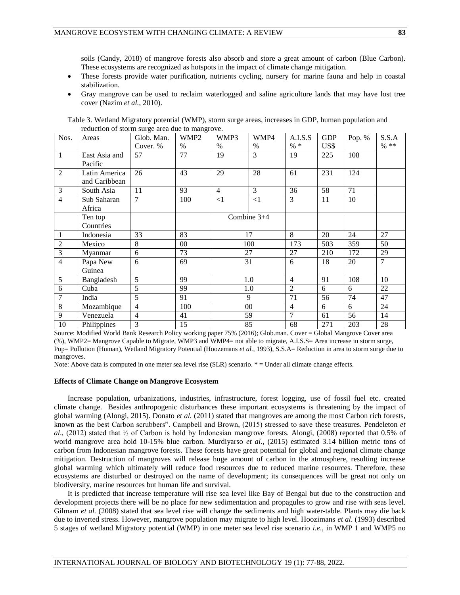soils (Candy, 2018) of mangrove forests also absorb and store a great amount of carbon (Blue Carbon). These ecosystems are recognized as hotspots in the impact of climate change mitigation.

- These forests provide water purification, nutrients cycling, nursery for marine fauna and help in coastal stabilization.
- Gray mangrove can be used to reclaim waterlogged and saline agriculture lands that may have lost tree cover (Nazim *et al.*, 2010).

| Nos.           | Areas         | Glob. Man.     | WMP <sub>2</sub> | WMP3           | WMP4        | A.I.S.S        | <b>GDP</b> | Pop. % | S.S.A          |
|----------------|---------------|----------------|------------------|----------------|-------------|----------------|------------|--------|----------------|
|                |               | Cover. %       | $\%$             | $\frac{0}{0}$  | $\%$        | $% *$          | US\$       |        | $%$ **         |
| $\mathbf{1}$   | East Asia and | 57             | 77               | 19             | 3           | 19             | 225        | 108    |                |
|                | Pacific       |                |                  |                |             |                |            |        |                |
| $\mathfrak{2}$ | Latin America | 26             | 43               | 29             | 28          | 61             | 231        | 124    |                |
|                | and Caribbean |                |                  |                |             |                |            |        |                |
| 3              | South Asia    | 11             | 93               | $\overline{4}$ | 3           | 36             | 58         | 71     |                |
| 4              | Sub Saharan   | $\overline{7}$ | 100              | ${<}1$         | $\leq$ 1    | 3              | 11         | 10     |                |
|                | Africa        |                |                  |                |             |                |            |        |                |
|                | Ten top       |                |                  |                | Combine 3+4 |                |            |        |                |
|                | Countries     |                |                  |                |             |                |            |        |                |
| $\mathbf{1}$   | Indonesia     | 33             | 83               |                | 17          | 8              | 20         | 24     | 27             |
| $\mathfrak{2}$ | Mexico        | 8              | $00\,$           |                | 100         | 173            | 503        | 359    | 50             |
| 3              | Myanmar       | 6              | 73               |                | 27          | 27             | 210        | 172    | 29             |
| $\overline{4}$ | Papa New      | 6              | 69               |                | 31          | 6              | 18         | 20     | $\overline{7}$ |
|                | Guinea        |                |                  |                |             |                |            |        |                |
| 5              | Bangladesh    | 5              | 99               | 1.0            |             | $\overline{4}$ | 91         | 108    | 10             |
| 6              | Cuba          | 5              | 99               | 1.0            |             | $\overline{2}$ | 6          | 6      | 22             |
| 7              | India         | 5              | 91               | 9              |             | 71             | 56         | 74     | 47             |
| 8              | Mozambique    | $\overline{4}$ | 100              |                | $00\,$      | $\overline{4}$ | 6          | 6      | 24             |
| 9              | Venezuela     | $\overline{4}$ | 41               |                | 59          | $\overline{7}$ | 61         | 56     | 14             |
| 10             | Philippines   | 3              | 15               |                | 85          | 68             | 271        | 203    | 28             |

Table 3. Wetland Migratory potential (WMP), storm surge areas, increases in GDP, human population and reduction of storm surge area due to mangrove.

Source: Modified World Bank Research Policy working paper 75% (2016); Glob.man. Cover = Global Mangrove Cover area (%), WMP2= Mangrove Capable to Migrate, WMP3 and WMP4= not able to migrate, A.I.S.S= Area increase in storm surge, Pop= Pollution (Human), Wetland Migratory Potential (Hoozemans *et al.*, 1993), S.S.A= Reduction in area to storm surge due to mangroves.

Note: Above data is computed in one meter sea level rise (SLR) scenario. \* = Under all climate change effects.

#### **Effects of Climate Change on Mangrove Ecosystem**

Increase population, urbanizations, industries, infrastructure, forest logging, use of fossil fuel etc. created climate change. Besides anthropogenic disturbances these important ecosystems is threatening by the impact of global warming (Alongi, 2015). Donato *et al.* (2011) stated that mangroves are among the most Carbon rich forests, known as the best Carbon scrubbers". Campbell and Brown, (2015) stressed to save these treasures. Pendeleton *et al*., (2012) stated that ⅓ of Carbon is hold by Indonesian mangrove forests. Alongi, (2008) reported that 0.5% of world mangrove area hold 10-15% blue carbon. Murdiyarso *et al.,* (2015) estimated 3.14 billion metric tons of carbon from Indonesian mangrove forests. These forests have great potential for global and regional climate change mitigation. Destruction of mangroves will release huge amount of carbon in the atmosphere, resulting increase global warming which ultimately will reduce food resources due to reduced marine resources. Therefore, these ecosystems are disturbed or destroyed on the name of development; its consequences will be great not only on biodiversity, marine resources but human life and survival.

It is predicted that increase temperature will rise sea level like Bay of Bengal but due to the construction and development projects there will be no place for new sedimentation and propagules to grow and rise with seas level. Gilmam *et al.* (2008) stated that sea level rise will change the sediments and high water-table. Plants may die back due to inverted stress. However, mangrove population may migrate to high level. Hoozimans *et al*. (1993) described 5 stages of wetland Migratory potential (WMP) in one meter sea level rise scenario *i.e*., in WMP 1 and WMP5 no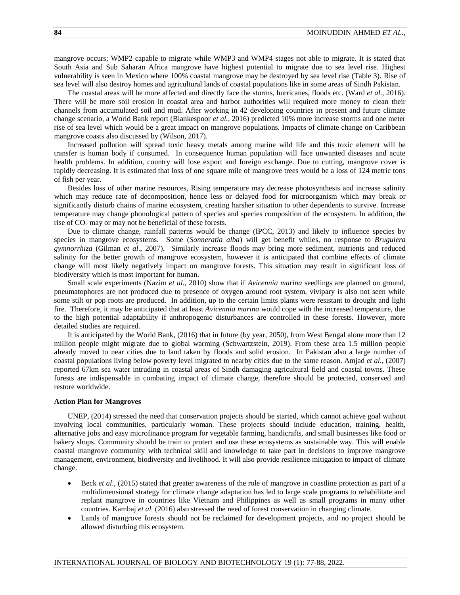mangrove occurs; WMP2 capable to migrate while WMP3 and WMP4 stages not able to migrate. It is stated that South Asia and Sub Saharan Africa mangrove have highest potential to migrate due to sea level rise. Highest vulnerability is seen in Mexico where 100% coastal mangrove may be destroyed by sea level rise (Table 3). Rise of sea level will also destroy homes and agricultural lands of coastal populations like in some areas of Sindh Pakistan.

The coastal areas will be more affected and directly face the storms, hurricanes, floods etc. (Ward *et al.*, 2016). There will be more soil erosion in coastal area and harbor authorities will required more money to clean their channels from accumulated soil and mud. After working in 42 developing countries in present and future climate change scenario, a World Bank report (Blankespoor *et al.*, 2016) predicted 10% more increase storms and one meter rise of sea level which would be a great impact on mangrove populations. Impacts of climate change on Caribbean mangrove coasts also discussed by (Wilson, 2017).

Increased pollution will spread toxic heavy metals among marine wild life and this toxic element will be transfer is human body if consumed. In consequence human population will face unwanted diseases and acute health problems. In addition, country will lose export and foreign exchange. Due to cutting, mangrove cover is rapidly decreasing. It is estimated that loss of one square mile of mangrove trees would be a loss of 124 metric tons of fish per year.

Besides loss of other marine resources, Rising temperature may decrease photosynthesis and increase salinity which may reduce rate of decomposition, hence less or delayed food for microorganism which may break or significantly disturb chains of marine ecosystem, creating harsher situation to other dependents to survive. Increase temperature may change phonological pattern of species and species composition of the ecosystem. In addition, the rise of  $CO<sub>2</sub>$  may or may not be beneficial of these forests.

Due to climate change, rainfall patterns would be change (IPCC, 2013) and likely to influence species by species in mangrove ecosystems. Some (*Sonneratia alba*) will get benefit whiles, no response to *Bruguiera gymnorrhiza* (Gilman *et al*., 2007). Similarly increase floods may bring more sediment, nutrients and reduced salinity for the better growth of mangrove ecosystem, however it is anticipated that combine effects of climate change will most likely negatively impact on mangrove forests. This situation may result in significant loss of biodiversity which is most important for human.

Small scale experiments (Nazim *et al.*, 2010) show that if *Avicennia marina* seedlings are planned on ground, pneumatophores are not produced due to presence of oxygen around root system, vivipary is also not seen while some stilt or pop roots are produced. In addition, up to the certain limits plants were resistant to drought and light fire. Therefore, it may be anticipated that at least *Avicennia marina* would cope with the increased temperature, due to the high potential adaptability if anthropogenic disturbances are controlled in these forests. However, more detailed studies are required.

It is anticipated by the World Bank, (2016) that in future (by year, 2050), from West Bengal alone more than 12 million people might migrate due to global warming (Schwartzstein, 2019). From these area 1.5 million people already moved to near cities due to land taken by floods and solid erosion. In Pakistan also a large number of coastal populations living below poverty level migrated to nearby cities due to the same reason. Amjad *et al.,* (2007) reported 67km sea water intruding in coastal areas of Sindh damaging agricultural field and coastal towns. These forests are indispensable in combating impact of climate change, therefore should be protected, conserved and restore worldwide.

#### **Action Plan for Mangroves**

UNEP, (2014) stressed the need that conservation projects should be started, which cannot achieve goal without involving local communities, particularly woman. These projects should include education, training, health, alternative jobs and easy microfinance program for vegetable farming, handicrafts, and small businesses like food or bakery shops. Community should be train to protect and use these ecosystems as sustainable way. This will enable coastal mangrove community with technical skill and knowledge to take part in decisions to improve mangrove management, environment, biodiversity and livelihood. It will also provide resilience mitigation to impact of climate change.

- Beck *et al*., (2015) stated that greater awareness of the role of mangrove in coastline protection as part of a multidimensional strategy for climate change adaptation has led to large scale programs to rehabilitate and replant mangrove in countries like Vietnam and Philippines as well as small programs in many other countries. Kambaj *et al.* (2016) also stressed the need of forest conservation in changing climate.
- Lands of mangrove forests should not be reclaimed for development projects, and no project should be allowed disturbing this ecosystem.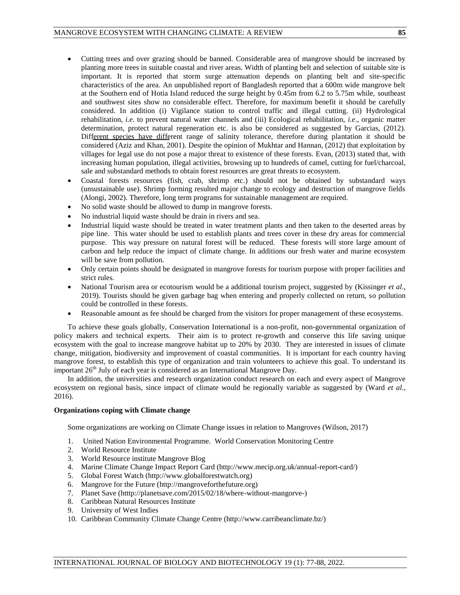- Cutting trees and over grazing should be banned. Considerable area of mangrove should be increased by planting more trees in suitable coastal and river areas. Width of planting belt and selection of suitable site is important. It is reported that storm surge attenuation depends on planting belt and site-specific characteristics of the area. An unpublished report of Bangladesh reported that a 600m wide mangrove belt at the Southern end of Hotia Island reduced the surge height by 0.45m from 6.2 to 5.75m while, southeast and southwest sites show no considerable effect. Therefore, for maximum benefit it should be carefully considered. In addition (i) Vigilance station to control traffic and illegal cutting. (ii) Hydrological rehabilitation, *i.e*. to prevent natural water channels and (iii) Ecological rehabilitation, *i.e*., organic matter determination, protect natural regeneration etc. is also be considered as suggested by Garcias, (2012). Different species have different range of salinity tolerance, therefore during plantation it should be considered (Aziz and Khan, 2001). Despite the opinion of Mukhtar and Hannan, (2012) that exploitation by villages for legal use do not pose a major threat to existence of these forests. Evan, (2013) stated that, with increasing human population, illegal activities, browsing up to hundreds of camel, cutting for fuel/charcoal, sale and substandard methods to obtain forest resources are great threats to ecosystem.
- Coastal forests resources (fish, crab, shrimp etc.) should not be obtained by substandard ways (unsustainable use). Shrimp forming resulted major change to ecology and destruction of mangrove fields (Alongi, 2002). Therefore, long term programs for sustainable management are required.
- No solid waste should be allowed to dump in mangrove forests.
- No industrial liquid waste should be drain in rivers and sea.
- Industrial liquid waste should be treated in water treatment plants and then taken to the deserted areas by pipe line. This water should be used to establish plants and trees cover in these dry areas for commercial purpose. This way pressure on natural forest will be reduced. These forests will store large amount of carbon and help reduce the impact of climate change. In additions our fresh water and marine ecosystem will be save from pollution.
- Only certain points should be designated in mangrove forests for tourism purpose with proper facilities and strict rules.
- National Tourism area or ecotourism would be a additional tourism project, suggested by (Kissinger *et al*., 2019). Tourists should be given garbage bag when entering and properly collected on return, so pollution could be controlled in these forests.
- Reasonable amount as fee should be charged from the visitors for proper management of these ecosystems.

To achieve these goals globally, Conservation International is a non-profit, non-governmental organization of policy makers and technical experts. Their aim is to protect re-growth and conserve this life saving unique ecosystem with the goal to increase mangrove habitat up to 20% by 2030. They are interested in issues of climate change, mitigation, biodiversity and improvement of coastal communities. It is important for each country having mangrove forest, to establish this type of organization and train volunteers to achieve this goal. To understand its important  $26<sup>th</sup>$  July of each year is considered as an International Mangrove Day.

In addition, the universities and research organization conduct research on each and every aspect of Mangrove ecosystem on regional basis, since impact of climate would be regionally variable as suggested by (Ward *et al.,* 2016).

### **Organizations coping with Climate change**

Some organizations are working on Climate Change issues in relation to Mangroves (Wilson, 2017)

- 1. United Nation Environmental Programme. World Conservation Monitoring Centre
- 2. World Resource Institute
- 3. World Resource institute Mangrove Blog
- 4. Marine Climate Change Impact Report Card (http://www.mecip.org.uk/annual-report-card/)
- 5. Global Forest Watch [\(http://www.globalforestwatch.org\)](http://www.globalforestwatch.org/)
- 6. Mangrove for the Future [\(http://mangroveforthefuture.org\)](http://mangroveforthefuture.org/)
- 7. Planet Save (htttp://planetsave.com/2015/02/18/where-without-mangorve-)
- 8. Caribbean Natural Resources Institute
- 9. University of West Indies
- 10. Caribbean Community Climate Change Centre (http://www.carribeanclimate.bz/)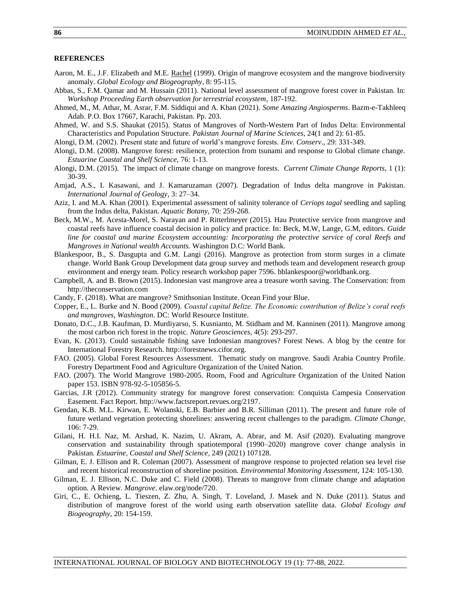### **REFERENCES**

- Aaron, M. E., J.F. Elizabeth and M.E. [Rachel](https://onlinelibrary.wiley.com/action/doSearch?ContribAuthorRaw=Merkt%2C+Rachel+E) (1999). Origin of mangrove ecosystem and the mangrove biodiversity anomaly. *Global Ecology and Biogeography*, 8: 95-115.
- Abbas, S., F.M. Qamar and M. Hussain (2011). National level assessment of mangrove forest cover in Pakistan. In: *Workshop Proceeding Earth observation for terrestrial ecosystem*, 187-192.
- Ahmed, M., M. Athar, M. Asrar, F.M. Siddiqui and A. Khan (2021). *Some Amazing Angiosperms*. Bazm-e-Takhleeq Adab. P.O. Box 17667, Karachi, Pakistan. Pp. 203.
- Ahmed, W. and S.S. Shaukat (2015). Status of Mangroves of North-Western Part of Indus Delta: Environmental Characteristics and Population Structure. *Pakistan Journal of Marine Sciences*, 24(1 and 2): 61-85.
- Alongi, D.M. (2002). Present state and future of world's mangrove forests. *Env. Conserv*., 29: 331-349.
- Alongi, D.M. (2008). Mangrove forest: resilience, protection from tsunami and response to Global climate change. *Estuarine Coastal and Shelf Science,* 76: 1-13.
- Alongi, D.M. (2015). The impact of climate change on mangrove forests. *Current Climate Change Reports*, 1 (1): 30-39.
- Amjad, A.S., I. Kasawani, and J. Kamaruzaman (2007). Degradation of Indus delta mangrove in Pakistan. *International Journal of Geology,* 3: 27–34.
- Aziz, I. and M.A. Khan (2001). Experimental assessment of salinity tolerance of *Ceriops tagal* seedling and sapling from the Indus delta, Pakistan. *Aquatic Botany,* 70: 259-268.
- Beck, M.W., M. Acesta-Morel, S. Narayan and P. Ritterlmeyer (2015). Hau Protective service from mangrove and coastal reefs have influence coastal decision in policy and practice. In: Beck, M.W, Lange, G.M, editors. *Guide line for coastal and marine Ecosystem accounting: Incorporating the protective service of coral Reefs and Mangroves in National wealth Accounts.* Washington D.C: World Bank.
- Blankespoor, B., S. Dasgupta and G.M. Langi (2016). Mangrove as protection from storm surges in a climate change. World Bank Group Development data group survey and methods team and development research group environment and energy team. Policy research workshop paper 7596. [bblankespoor@worldbank.org.](mailto:bblankespoor@worldbank.org)
- Campbell, A. and B. Brown (2015). Indonesian vast mangrove area a treasure worth saving. The Conservation: from [http://theconservation.com](http://theconservation.com/)
- Candy, F. (2018). What are mangrove? Smithsonian Institute. Ocean Find your Blue.
- Copper, E., L. Burke and N. Bood (2009). *Coastal capital Belize. The Economic contribution of Belize's coral reefs and mangroves, Washington*. DC: World Resource Institute.
- Donato, D.C., J.B. Kaufman, D. Murdiyarso, S. Kusnianto, M. Stidham and M. Kanninen (2011). Mangrove among the most carbon rich forest in the tropic. *Nature Geosciences,* 4(5): 293-297.
- Evan, K. (2013). Could sustainable fishing save Indonesian mangroves? Forest News. A blog by the centre for International Forestry Research. [http://forestnews.cifor.org.](http://forestnews.cifor.org/)
- FAO. (2005). Global Forest Resources Assessment. Thematic study on mangrove. Saudi Arabia Country Profile. Forestry Department Food and Agriculture Organization of the United Nation.
- FAO. (2007). The World Mangrove 1980-2005. Room, Food and Agriculture Organization of the United Nation paper 153. ISBN 978-92-5-105856-5.
- Garcias, J.R (2012). Community strategy for mangrove forest conservation: Conquista Campesia Conservation Easement. Fact Report. [http://www.factsreport.revues.org/2197.](http://www.factsreport.revues.org/2197)
- Gendan, K.B. M.L. Kirwan, E. Wolanski, E.B. Barbier and B.R. Silliman (2011). The present and future role of future wetland vegetation protecting shorelines: answering recent challenges to the paradigm. *Climate Change*, 106: 7-29.
- Gilani, H. H.I. Naz, M. Arshad, K. Nazim, U. Akram, A. Abrar, and M. Asif (2020). Evaluating mangrove conservation and sustainability through spatiotemporal (1990–2020) mangrove cover change analysis in Pakistan*. Estuarine, Coastal and Shelf Science,* 249 (2021) 107128.
- Gilman, E. J. Ellison and R. Coleman (2007). Assessment of mangrove response to projected relation sea level rise and recent historical reconstruction of shoreline position. *Environmental Monitoring Assessment,* 124: 105-130.
- Gilman, E. J. Ellison, N.C. Duke and C. Field (2008). Threats to mangrove from climate change and adaptation option. A Review. *Mangrove*. elaw.org/node/720.
- Giri, C., E. Ochieng, L. Tieszen, Z. Zhu, A. Singh, T. Loveland, J. Masek and N. Duke (2011). Status and distribution of mangrove forest of the world using earth observation satellite data. *Global Ecology and Biogeography,* 20: 154-159.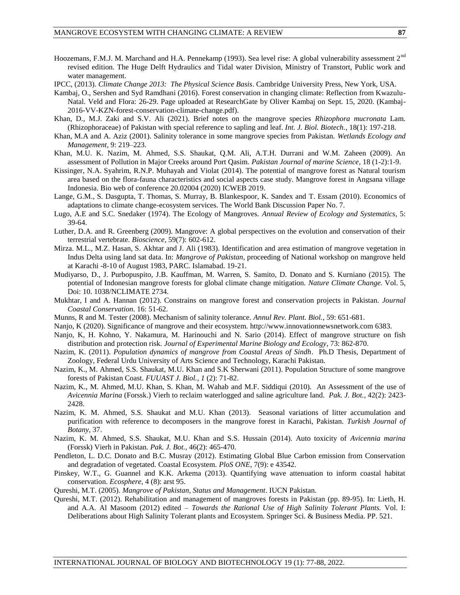- Hoozemans, F.M.J. M. Marchand and H.A. Pennekamp (1993). Sea level rise: A global vulnerability assessment 2<sup>nd</sup> revised edition. The Huge Delft Hydraulics and Tidal water Division, Ministry of Transtort, Public work and water management.
- IPCC, (2013). *Climate Change 2013: The Physical Science Basis*. Cambridge University Press, New York, USA.
- Kambaj, O., Sershen and Syd Ramdhani (2016). Forest conservation in changing climate: Reflection from Kwazulu-Natal. Veld and Flora: 26-29. Page uploaded at ResearchGate by Oliver Kambaj on Sept. 15, 2020. (Kambaj-2016-VV-KZN-forest-conservation-climate-change.pdf).
- Khan, D., M.J. Zaki and S.V. Ali (2021). Brief notes on the mangrove species *Rhizophora mucronata* Lam. (Rhizophoraceae) of Pakistan with special reference to sapling and leaf. *Int. J. Biol. Biotech.,* 18(1): 197-218.
- Khan, M.A and A. Aziz (2001). Salinity tolerance in some mangrove species from Pakistan. *Wetlands Ecology and Management,* 9: 219–223.
- Khan, M.U. K. Nazim, M. Ahmed, S.S. Shaukat, Q.M. Ali, A.T.H. Durrani and W.M. Zaheen (2009). An assessment of Pollution in Major Creeks around Port Qasim. *Pakistan Journal of marine Science*, 18 (1-2):1-9.
- Kissinger, N.A. Syahrim, R.N.P. Muhayah and Violat (2014). The potential of mangrove forest as Natural tourism area based on the flora-fauna characteristics and social aspects case study. Mangrove forest in Angsana village Indonesia. Bio web of conference 20.02004 (2020) ICWEB 2019.
- Lange, G.M., S. Dasgupta, T. Thomas, S. Murray, B. Blankespoor, K. Sandex and T. Essam (2010). Economics of adaptations to climate change-ecosystem services. The World Bank Discussion Paper No. 7.
- Lugo, A.E and S.C. Snedaker (1974). The Ecology of Mangroves. *Annual Review of Ecology and Systematics*, 5: 39-64.
- Luther, D.A. and R. Greenberg (2009). Mangrove: A global perspectives on the evolution and conservation of their terrestrial vertebrate*. Bioscience,* 59(7): 602-612.
- Mirza. M.L., M.Z. Hasan, S. Akhtar and J. Ali (1983). Identification and area estimation of mangrove vegetation in Indus Delta using land sat data. In: *Mangrove of Pakistan*, proceeding of National workshop on mangrove held at Karachi -8-10 of August 1983, PARC. Islamabad. 19-21.
- Mudiyarso, D., J. Purbopuspito, J.B. Kauffman, M. Warren, S. Samito, D. Donato and S. Kurniano (2015). The potential of Indonesian mangrove forests for global climate change mitigation. *Nature Climate Change.* Vol. 5, Doi: 10. 1038/NCLIMATE 2734.
- Mukhtar, I and A. Hannan (2012). Constrains on mangrove forest and conservation projects in Pakistan. *Journal Coastal Conservation*. 16: 51-62.
- Munns, R and M. Tester (2008). Mechanism of salinity tolerance. *Annul Rev. Plant. Biol.,* 59: 651-681.
- Nanjo, K (2020). Significance of mangrove and their ecosystem. [http://www.innovationnewsnetwork.com](http://www.innovationnewsnetwork.com/) 6383.
- Nanjo, K, H. Kohno, Y. Nakamura, M. Harinouchi and N. Sario (2014). Effect of mangrove structure on fish distribution and protection risk. *Journal of Experimental Marine Biology and Ecology*, 73: 862-870.
- Nazim, K. (2011). *Population dynamics of mangrove from Coastal Areas of Sindh*. Ph.D Thesis, Department of Zoology, Federal Urdu University of Arts Science and Technology, Karachi Pakistan.
- Nazim, K., M. Ahmed, S.S. Shaukat, M.U. Khan and S.K Sherwani (2011). Population Structure of some mangrove forests of Pakistan Coast. *FUUAST J. Biol., 1* (2): 71-82.
- Nazim, K., M. Ahmed, M.U. Khan, S. Khan, M. Wahab and M.F. Siddiqui (2010). An Assessment of the use of *Avicennia Marina* (Forssk.) Vierh to reclaim waterlogged and saline agriculture land. *Pak. J. Bot.,* 42(2): 2423- 2428.
- Nazim, K. M. Ahmed, S.S. Shaukat and M.U. Khan (2013). Seasonal variations of litter accumulation and purification with reference to decomposers in the mangrove forest in Karachi, Pakistan. *Turkish Journal of Botany,* 37.
- Nazim, K. M. Ahmed, S.S. Shaukat, M.U. Khan and S.S. Hussain (2014). Auto toxicity of *Avicennia marina* (Forssk) Vierh in Pakistan. *Pak. J. Bot.,* 46(2): 465-470.
- Pendleton, L. D.C. Donato and B.C. Musray (2012). Estimating Global Blue Carbon emission from Conservation and degradation of vegetated. Coastal Ecosystem. *PloS ONE,* 7(9): e 43542.
- Pinskey, W.T., G. Guannel and K.K. Arkema (2013). Quantifying wave attenuation to inform coastal habitat conservation. *Ecosphere*, 4 (8): arst 95.
- Qureshi, M.T. (2005). *Mangrove of Pakistan, Status and Management*. IUCN Pakistan.
- Qureshi, M.T. (2012). Rehabilitation and management of mangroves forests in Pakistan (pp. 89-95). In: Lieth, H. and A.A. Al Masoom (2012) edited – *Towards the Rational Use of High Salinity Tolerant Plants.* Vol. I: Deliberations about High Salinity Tolerant plants and Ecosystem. Springer Sci. & Business Media. PP. 521.